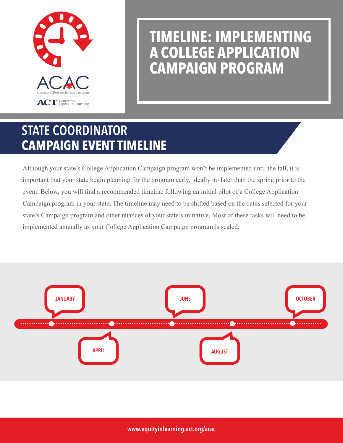

# **TIMELINE: IMPLEMENTING A COLLEGE APPLICATION CAMPAIGN PROGRAM**

## STATE COORDINATOR **CAMPAIGN EVENT TIMELINE**

Although your state's College Application Campaign program won't be implemented until the fall, it is important that your state begin planning for the program early, ideally no later than the spring prior to the event. Below, you will find a recommended timeline following an initial pilot of a College Application Campaign program in your state. The timeline may need to be shifted based on the dates selected for your state's Campaign program and other nuances of your state's initiative. Most of these tasks will need to be implemented annually as your College Application Campaign program is scaled.



www.equityinlearning.act.org/acac